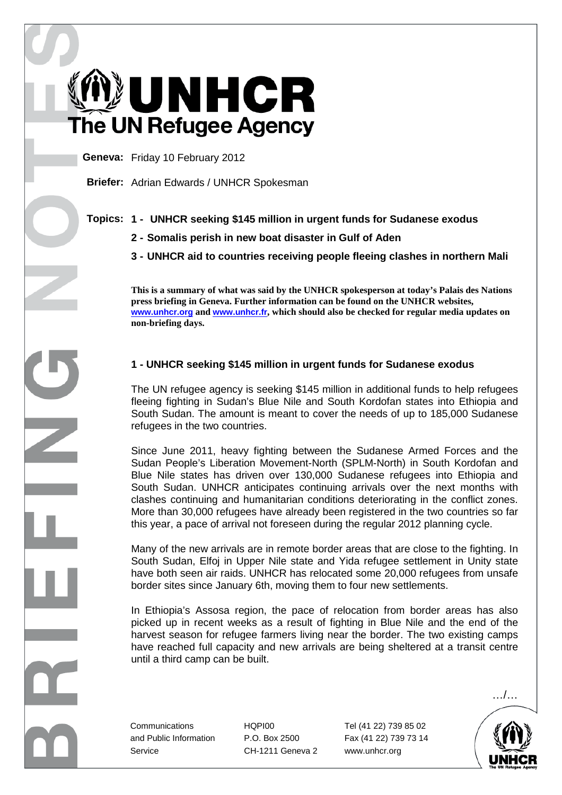UNHCR The UN Refugee Agency

**Geneva:** Friday 10 February 2012

**Briefer:** Adrian Edwards / UNHCR Spokesman

## **Topics: 1 - UNHCR seeking \$145 million in urgent funds for Sudanese exodus**

- **2 Somalis perish in new boat disaster in Gulf of Aden**
- **3 UNHCR aid to countries receiving people fleeing clashes in northern Mali**

**This is a summary of what was said by the UNHCR spokesperson at today's Palais des Nations press briefing in Geneva. Further information can be found on the UNHCR websites, www.unhcr.org and www.unhcr.fr, which should also be checked for regular media updates on non-briefing days.** 

## **1 - UNHCR seeking \$145 million in urgent funds for Sudanese exodus**

The UN refugee agency is seeking \$145 million in additional funds to help refugees fleeing fighting in Sudan's Blue Nile and South Kordofan states into Ethiopia and South Sudan. The amount is meant to cover the needs of up to 185,000 Sudanese refugees in the two countries.

Since June 2011, heavy fighting between the Sudanese Armed Forces and the Sudan People's Liberation Movement-North (SPLM-North) in South Kordofan and Blue Nile states has driven over 130,000 Sudanese refugees into Ethiopia and South Sudan. UNHCR anticipates continuing arrivals over the next months with clashes continuing and humanitarian conditions deteriorating in the conflict zones. More than 30,000 refugees have already been registered in the two countries so far this year, a pace of arrival not foreseen during the regular 2012 planning cycle.

Many of the new arrivals are in remote border areas that are close to the fighting. In South Sudan, Elfoj in Upper Nile state and Yida refugee settlement in Unity state have both seen air raids. UNHCR has relocated some 20,000 refugees from unsafe border sites since January 6th, moving them to four new settlements.

In Ethiopia's Assosa region, the pace of relocation from border areas has also picked up in recent weeks as a result of fighting in Blue Nile and the end of the harvest season for refugee farmers living near the border. The two existing camps have reached full capacity and new arrivals are being sheltered at a transit centre until a third camp can be built.

…/…

Service CH-1211 Geneva 2 www.unhcr.org

Communications HQPI00 Tel (41 22) 739 85 02 and Public Information P.O. Box 2500 Fax (41 22) 739 73 14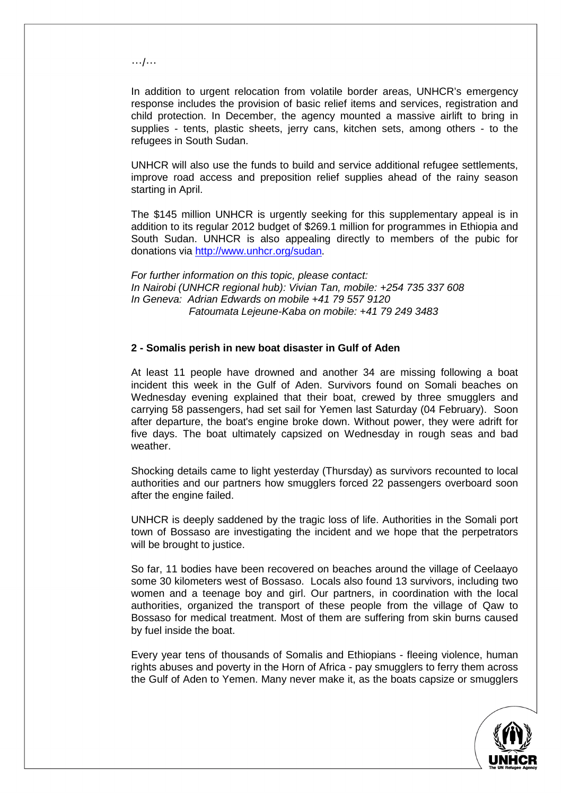…/…

In addition to urgent relocation from volatile border areas, UNHCR's emergency response includes the provision of basic relief items and services, registration and child protection. In December, the agency mounted a massive airlift to bring in supplies - tents, plastic sheets, jerry cans, kitchen sets, among others - to the refugees in South Sudan.

UNHCR will also use the funds to build and service additional refugee settlements, improve road access and preposition relief supplies ahead of the rainy season starting in April.

The \$145 million UNHCR is urgently seeking for this supplementary appeal is in addition to its regular 2012 budget of \$269.1 million for programmes in Ethiopia and South Sudan. UNHCR is also appealing directly to members of the pubic for donations via http://www.unhcr.org/sudan.

For further information on this topic, please contact: In Nairobi (UNHCR regional hub): Vivian Tan, mobile: +254 735 337 608 In Geneva: Adrian Edwards on mobile +41 79 557 9120 Fatoumata Lejeune-Kaba on mobile: +41 79 249 3483

## **2 - Somalis perish in new boat disaster in Gulf of Aden**

At least 11 people have drowned and another 34 are missing following a boat incident this week in the Gulf of Aden. Survivors found on Somali beaches on Wednesday evening explained that their boat, crewed by three smugglers and carrying 58 passengers, had set sail for Yemen last Saturday (04 February). Soon after departure, the boat's engine broke down. Without power, they were adrift for five days. The boat ultimately capsized on Wednesday in rough seas and bad weather.

Shocking details came to light yesterday (Thursday) as survivors recounted to local authorities and our partners how smugglers forced 22 passengers overboard soon after the engine failed.

UNHCR is deeply saddened by the tragic loss of life. Authorities in the Somali port town of Bossaso are investigating the incident and we hope that the perpetrators will be brought to justice.

So far, 11 bodies have been recovered on beaches around the village of Ceelaayo some 30 kilometers west of Bossaso. Locals also found 13 survivors, including two women and a teenage boy and girl. Our partners, in coordination with the local authorities, organized the transport of these people from the village of Qaw to Bossaso for medical treatment. Most of them are suffering from skin burns caused by fuel inside the boat.

Every year tens of thousands of Somalis and Ethiopians - fleeing violence, human rights abuses and poverty in the Horn of Africa - pay smugglers to ferry them across the Gulf of Aden to Yemen. Many never make it, as the boats capsize or smugglers

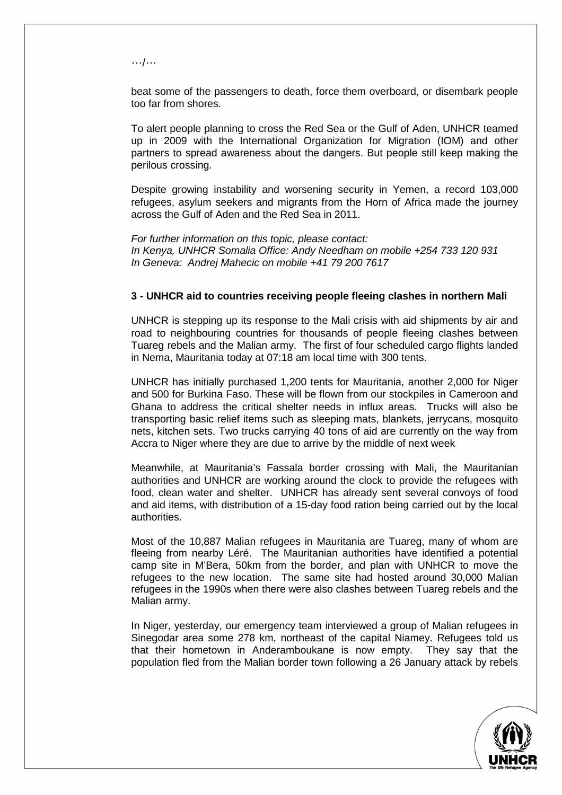…/…

beat some of the passengers to death, force them overboard, or disembark people too far from shores.

To alert people planning to cross the Red Sea or the Gulf of Aden, UNHCR teamed up in 2009 with the International Organization for Migration (IOM) and other partners to spread awareness about the dangers. But people still keep making the perilous crossing.

Despite growing instability and worsening security in Yemen, a record 103,000 refugees, asylum seekers and migrants from the Horn of Africa made the journey across the Gulf of Aden and the Red Sea in 2011.

For further information on this topic, please contact: In Kenya, UNHCR Somalia Office: Andy Needham on mobile +254 733 120 931 In Geneva: Andrej Mahecic on mobile +41 79 200 7617

## **3 - UNHCR aid to countries receiving people fleeing clashes in northern Mali**

UNHCR is stepping up its response to the Mali crisis with aid shipments by air and road to neighbouring countries for thousands of people fleeing clashes between Tuareg rebels and the Malian army. The first of four scheduled cargo flights landed in Nema, Mauritania today at 07:18 am local time with 300 tents.

UNHCR has initially purchased 1,200 tents for Mauritania, another 2,000 for Niger and 500 for Burkina Faso. These will be flown from our stockpiles in Cameroon and Ghana to address the critical shelter needs in influx areas. Trucks will also be transporting basic relief items such as sleeping mats, blankets, jerrycans, mosquito nets, kitchen sets. Two trucks carrying 40 tons of aid are currently on the way from Accra to Niger where they are due to arrive by the middle of next week

Meanwhile, at Mauritania's Fassala border crossing with Mali, the Mauritanian authorities and UNHCR are working around the clock to provide the refugees with food, clean water and shelter. UNHCR has already sent several convoys of food and aid items, with distribution of a 15-day food ration being carried out by the local authorities.

Most of the 10,887 Malian refugees in Mauritania are Tuareg, many of whom are fleeing from nearby Léré. The Mauritanian authorities have identified a potential camp site in M'Bera, 50km from the border, and plan with UNHCR to move the refugees to the new location. The same site had hosted around 30,000 Malian refugees in the 1990s when there were also clashes between Tuareg rebels and the Malian army.

In Niger, yesterday, our emergency team interviewed a group of Malian refugees in Sinegodar area some 278 km, northeast of the capital Niamey. Refugees told us that their hometown in Anderamboukane is now empty. They say that the population fled from the Malian border town following a 26 January attack by rebels